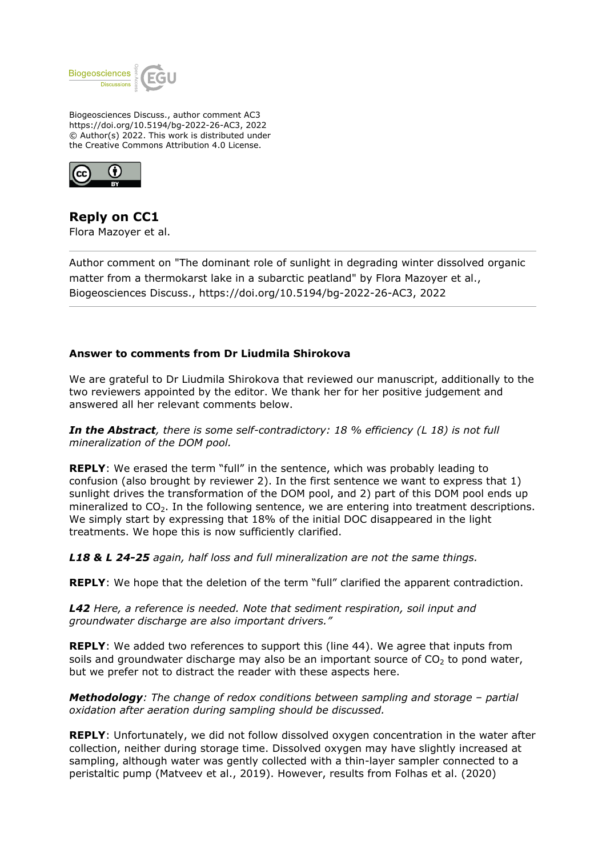

Biogeosciences Discuss., author comment AC3 https://doi.org/10.5194/bg-2022-26-AC3, 2022 © Author(s) 2022. This work is distributed under the Creative Commons Attribution 4.0 License.



**Reply on CC1** Flora Mazoyer et al.

Author comment on "The dominant role of sunlight in degrading winter dissolved organic matter from a thermokarst lake in a subarctic peatland" by Flora Mazoyer et al., Biogeosciences Discuss., https://doi.org/10.5194/bg-2022-26-AC3, 2022

## **Answer to comments from Dr Liudmila Shirokova**

We are grateful to Dr Liudmila Shirokova that reviewed our manuscript, additionally to the two reviewers appointed by the editor. We thank her for her positive judgement and answered all her relevant comments below.

*In the Abstract, there is some self-contradictory: 18 % efficiency (L 18) is not full mineralization of the DOM pool.*

**REPLY**: We erased the term "full" in the sentence, which was probably leading to confusion (also brought by reviewer 2). In the first sentence we want to express that 1) sunlight drives the transformation of the DOM pool, and 2) part of this DOM pool ends up mineralized to  $CO<sub>2</sub>$ . In the following sentence, we are entering into treatment descriptions. We simply start by expressing that 18% of the initial DOC disappeared in the light treatments. We hope this is now sufficiently clarified.

*L18 & L 24-25 again, half loss and full mineralization are not the same things.*

**REPLY**: We hope that the deletion of the term "full" clarified the apparent contradiction.

*L42 Here, a reference is needed. Note that sediment respiration, soil input and groundwater discharge are also important drivers."*

**REPLY**: We added two references to support this (line 44). We agree that inputs from soils and groundwater discharge may also be an important source of  $CO<sub>2</sub>$  to pond water, but we prefer not to distract the reader with these aspects here.

*Methodology: The change of redox conditions between sampling and storage – partial oxidation after aeration during sampling should be discussed.*

**REPLY**: Unfortunately, we did not follow dissolved oxygen concentration in the water after collection, neither during storage time. Dissolved oxygen may have slightly increased at sampling, although water was gently collected with a thin-layer sampler connected to a peristaltic pump (Matveev et al., 2019). However, results from Folhas et al. (2020)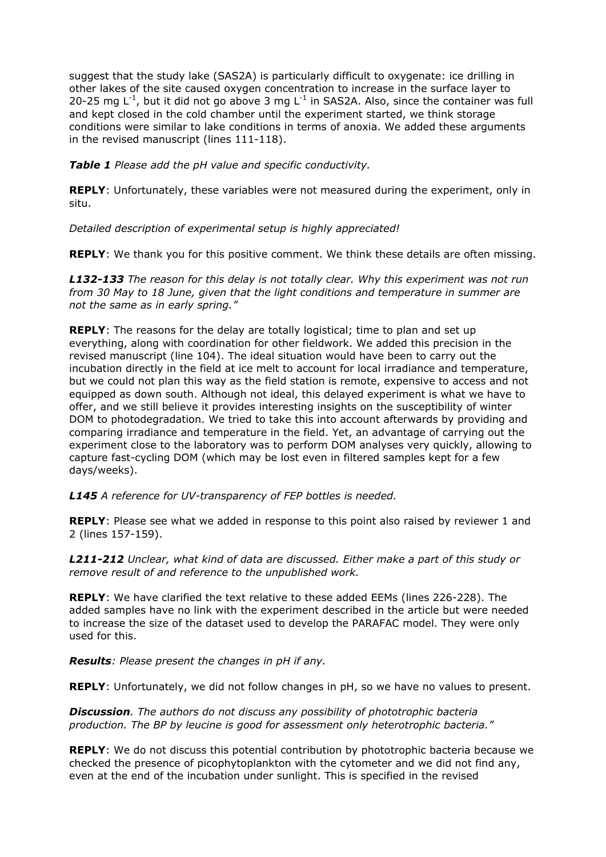suggest that the study lake (SAS2A) is particularly difficult to oxygenate: ice drilling in other lakes of the site caused oxygen concentration to increase in the surface layer to 20-25 mg  $L^{-1}$ , but it did not go above 3 mg  $L^{-1}$  in SAS2A. Also, since the container was full and kept closed in the cold chamber until the experiment started, we think storage conditions were similar to lake conditions in terms of anoxia. We added these arguments in the revised manuscript (lines 111-118).

*Table 1 Please add the pH value and specific conductivity.*

**REPLY**: Unfortunately, these variables were not measured during the experiment, only in situ.

*Detailed description of experimental setup is highly appreciated!*

**REPLY**: We thank you for this positive comment. We think these details are often missing.

*L132-133 The reason for this delay is not totally clear. Why this experiment was not run from 30 May to 18 June, given that the light conditions and temperature in summer are not the same as in early spring."*

**REPLY**: The reasons for the delay are totally logistical; time to plan and set up everything, along with coordination for other fieldwork. We added this precision in the revised manuscript (line 104). The ideal situation would have been to carry out the incubation directly in the field at ice melt to account for local irradiance and temperature, but we could not plan this way as the field station is remote, expensive to access and not equipped as down south. Although not ideal, this delayed experiment is what we have to offer, and we still believe it provides interesting insights on the susceptibility of winter DOM to photodegradation. We tried to take this into account afterwards by providing and comparing irradiance and temperature in the field. Yet, an advantage of carrying out the experiment close to the laboratory was to perform DOM analyses very quickly, allowing to capture fast-cycling DOM (which may be lost even in filtered samples kept for a few days/weeks).

*L145 A reference for UV-transparency of FEP bottles is needed.*

**REPLY**: Please see what we added in response to this point also raised by reviewer 1 and 2 (lines 157-159).

*L211-212 Unclear, what kind of data are discussed. Either make a part of this study or remove result of and reference to the unpublished work.*

**REPLY**: We have clarified the text relative to these added EEMs (lines 226-228). The added samples have no link with the experiment described in the article but were needed to increase the size of the dataset used to develop the PARAFAC model. They were only used for this.

*Results: Please present the changes in pH if any.*

**REPLY**: Unfortunately, we did not follow changes in pH, so we have no values to present.

*Discussion. The authors do not discuss any possibility of phototrophic bacteria production. The BP by leucine is good for assessment only heterotrophic bacteria."*

**REPLY**: We do not discuss this potential contribution by phototrophic bacteria because we checked the presence of picophytoplankton with the cytometer and we did not find any, even at the end of the incubation under sunlight. This is specified in the revised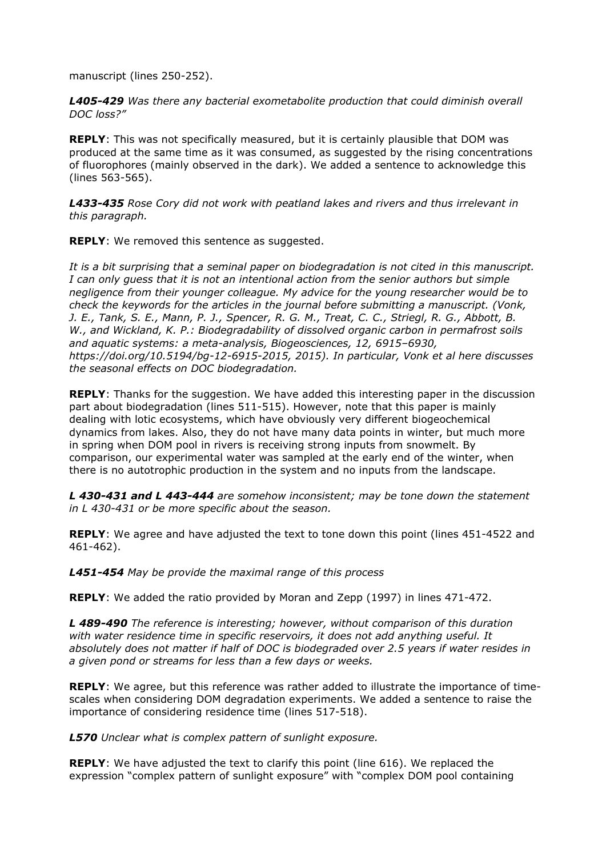manuscript (lines 250-252).

*L405-429 Was there any bacterial exometabolite production that could diminish overall DOC loss?"*

**REPLY**: This was not specifically measured, but it is certainly plausible that DOM was produced at the same time as it was consumed, as suggested by the rising concentrations of fluorophores (mainly observed in the dark). We added a sentence to acknowledge this (lines 563-565).

*L433-435 Rose Cory did not work with peatland lakes and rivers and thus irrelevant in this paragraph.*

**REPLY**: We removed this sentence as suggested.

*It is a bit surprising that a seminal paper on biodegradation is not cited in this manuscript. I can only guess that it is not an intentional action from the senior authors but simple negligence from their younger colleague. My advice for the young researcher would be to check the keywords for the articles in the journal before submitting a manuscript. (Vonk, J. E., Tank, S. E., Mann, P. J., Spencer, R. G. M., Treat, C. C., Striegl, R. G., Abbott, B. W., and Wickland, K. P.: Biodegradability of dissolved organic carbon in permafrost soils and aquatic systems: a meta-analysis, Biogeosciences, 12, 6915–6930, https://doi.org/10.5194/bg-12-6915-2015, 2015). In particular, Vonk et al here discusses the seasonal effects on DOC biodegradation.*

**REPLY**: Thanks for the suggestion. We have added this interesting paper in the discussion part about biodegradation (lines 511-515). However, note that this paper is mainly dealing with lotic ecosystems, which have obviously very different biogeochemical dynamics from lakes. Also, they do not have many data points in winter, but much more in spring when DOM pool in rivers is receiving strong inputs from snowmelt. By comparison, our experimental water was sampled at the early end of the winter, when there is no autotrophic production in the system and no inputs from the landscape.

*L 430-431 and L 443-444 are somehow inconsistent; may be tone down the statement in L 430-431 or be more specific about the season.*

**REPLY**: We agree and have adjusted the text to tone down this point (lines 451-4522 and 461-462).

*L451-454 May be provide the maximal range of this process*

**REPLY**: We added the ratio provided by Moran and Zepp (1997) in lines 471-472.

*L 489-490 The reference is interesting; however, without comparison of this duration with water residence time in specific reservoirs, it does not add anything useful. It absolutely does not matter if half of DOC is biodegraded over 2.5 years if water resides in a given pond or streams for less than a few days or weeks.*

**REPLY**: We agree, but this reference was rather added to illustrate the importance of timescales when considering DOM degradation experiments. We added a sentence to raise the importance of considering residence time (lines 517-518).

*L570 Unclear what is complex pattern of sunlight exposure.*

**REPLY**: We have adjusted the text to clarify this point (line 616). We replaced the expression "complex pattern of sunlight exposure" with "complex DOM pool containing